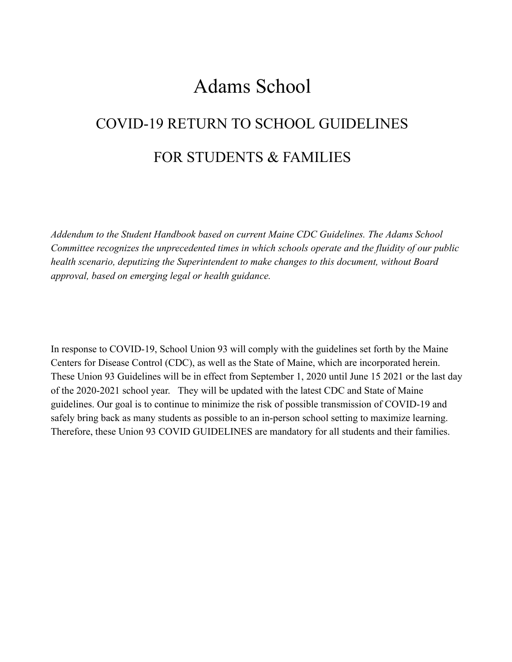## Adams School

# COVID-19 RETURN TO SCHOOL GUIDELINES FOR STUDENTS & FAMILIES

*Addendum to the Student Handbook based on current Maine CDC Guidelines. The Adams School Committee recognizes the unprecedented times in which schools operate and the fluidity of our public health scenario, deputizing the Superintendent to make changes to this document, without Board approval, based on emerging legal or health guidance.* 

In response to COVID-19, School Union 93 will comply with the guidelines set forth by the Maine Centers for Disease Control (CDC), as well as the State of Maine, which are incorporated herein. These Union 93 Guidelines will be in effect from September 1, 2020 until June 15 2021 or the last day of the 2020-2021 school year. They will be updated with the latest CDC and State of Maine guidelines. Our goal is to continue to minimize the risk of possible transmission of COVID-19 and safely bring back as many students as possible to an in-person school setting to maximize learning. Therefore, these Union 93 COVID GUIDELINES are mandatory for all students and their families.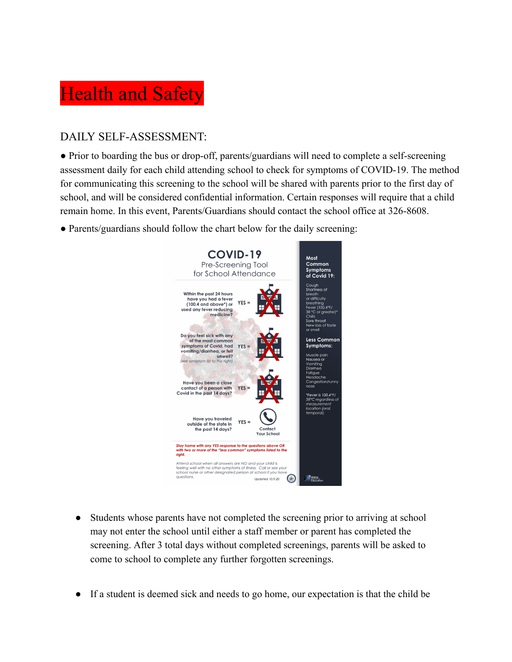# **Health and Safety**

### DAILY SELF-ASSESSMENT:

• Prior to boarding the bus or drop-off, parents/guardians will need to complete a self-screening assessment daily for each child attending school to check for symptoms of COVID-19. The method for communicating this screening to the school will be shared with parents prior to the first day of school, and will be considered confidential information. Certain responses will require that a child remain home. In this event, Parents/Guardians should contact the school office at 326-8608.

● Parents/guardians should follow the chart below for the daily screening:



- Students whose parents have not completed the screening prior to arriving at school may not enter the school until either a staff member or parent has completed the screening. After 3 total days without completed screenings, parents will be asked to come to school to complete any further forgotten screenings.
- If a student is deemed sick and needs to go home, our expectation is that the child be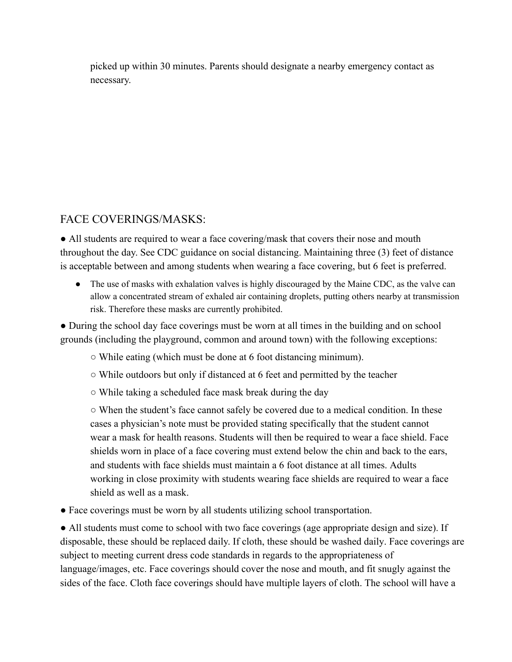picked up within 30 minutes. Parents should designate a nearby emergency contact as necessary.

### FACE COVERINGS/MASKS:

• All students are required to wear a face covering/mask that covers their nose and mouth throughout the day. [See CDC guidance on social distancing .](https://www.cdc.gov/coronavirus/2019-ncov/prevent-getting-sick/social-distancing.html) Maintaining three (3) feet of distance is acceptable between and among students when wearing a face covering, but 6 feet is preferred.

• The use of masks with exhalation valves is highly discouraged by the Maine CDC, as the valve can allow a concentrated stream of exhaled air containing droplets, putting others nearby at transmission risk. Therefore these masks are currently prohibited.

• During the school day face coverings must be worn at all times in the building and on school grounds (including the playground, common and around town) with the following exceptions:

- While eating (which must be done at 6 foot distancing minimum).
- While outdoors but only if distanced at 6 feet and permitted by the teacher
- While taking a scheduled face mask break during the day

○ When the student's face cannot safely be covered due to a medical condition. In these cases a physician's note must be provided stating specifically that the student cannot wear a mask for health reasons. Students will then be required to wear a face shield. Face shields worn in place of a face covering must extend below the chin and back to the ears, and students with face shields must maintain a 6 foot distance at all times. Adults working in close proximity with students wearing face shields are required to wear a face shield as well as a mask.

● Face coverings must be worn by all students utilizing school transportation.

• All students must come to school with two face coverings (age appropriate design and size). If disposable, these should be replaced daily. If cloth, these should be [washed daily .](https://www.cdc.gov/coronavirus/2019-ncov/prevent-getting-sick/how-to-wash-cloth-face-coverings.html) Face coverings are subject to meeting current dress code standards in regards to the appropriateness of language/images, etc. Face coverings should cover the nose and mouth, and fit snugly against the sides of the face. Cloth face coverings should have multiple layers of cloth. The school will have a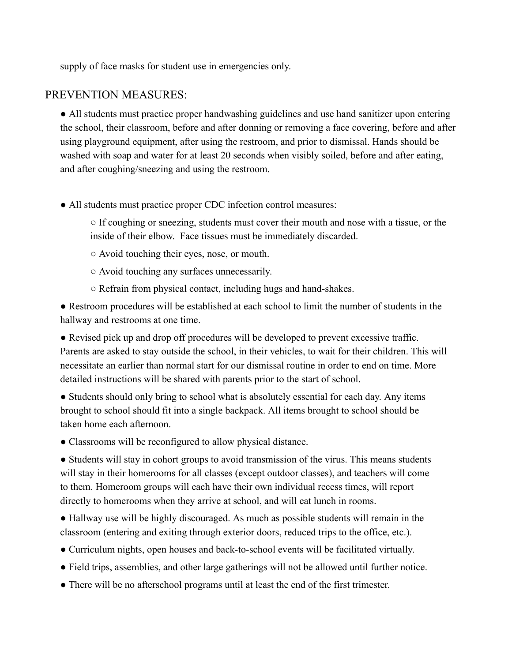supply of face masks for student use in emergencies only.

#### PREVENTION MEASURES:

• All students must practic[e proper handwashing guidelines](https://www.cdc.gov/coronavirus/2019-ncov/hcp/hand-hygiene.html) and use hand sanitizer upon entering the school, their classroom, before and after donning or removing a face covering, before and after using playground equipment, after using the restroom, and prior to dismissal. Hands should be washed with soap and water for at least 20 seconds when visibly soiled, before and after eating, and after coughing/sneezing and using the restroom.

• All students must practice proper CDC infection control measures:

○ If coughing or sneezing, students must cover their mouth and nose with a tissue, or the inside of their elbow. Face tissues must be immediately discarded.

- Avoid touching their eyes, nose, or mouth.
- Avoid touching any surfaces unnecessarily.
- Refrain from physical contact, including hugs and hand-shakes.

● Restroom procedures will be established at each school to limit the number of students in the hallway and restrooms at one time.

● Revised pick up and drop off procedures will be developed to prevent excessive traffic. Parents are asked to stay outside the school, in their vehicles, to wait for their children. This will necessitate an earlier than normal start for our dismissal routine in order to end on time. More detailed instructions will be shared with parents prior to the start of school.

• Students should only bring to school what is absolutely essential for each day. Any items brought to school should fit into a single backpack. All items brought to school should be taken home each afternoon.

• Classrooms will be reconfigured to allow physical distance.

• Students will stay in cohort groups to avoid transmission of the virus. This means students will stay in their homerooms for all classes (except outdoor classes), and teachers will come to them. Homeroom groups will each have their own individual recess times, will report directly to homerooms when they arrive at school, and will eat lunch in rooms.

● Hallway use will be highly discouraged. As much as possible students will remain in the classroom (entering and exiting through exterior doors, reduced trips to the office, etc.).

- Curriculum nights, open houses and back-to-school events will be facilitated virtually.
- Field trips, assemblies, and other large gatherings will not be allowed until further notice.
- There will be no afterschool programs until at least the end of the first trimester.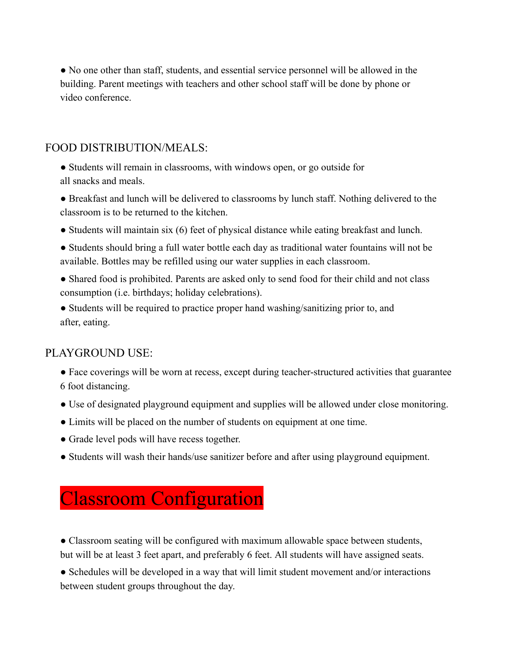● No one other than staff, students, and essential service personnel will be allowed in the building. Parent meetings with teachers and other school staff will be done by phone or video conference.

### FOOD DISTRIBUTION/MEALS:

- Students will remain in classrooms, with windows open, or go outside for all snacks and meals.
- Breakfast and lunch will be delivered to classrooms by lunch staff. Nothing delivered to the classroom is to be returned to the kitchen.
- Students will maintain six (6) feet of physical distance while eating breakfast and lunch.
- Students should bring a full water bottle each day as traditional water fountains will not be available. Bottles may be refilled using our water supplies in each classroom.
- Shared food is prohibited. Parents are asked only to send food for their child and not class consumption (i.e. birthdays; holiday celebrations).
- Students will be required to practice proper hand washing/sanitizing prior to, and after, eating.

### PLAYGROUND USE:

- Face coverings will be worn at recess, except during teacher-structured activities that guarantee 6 foot distancing.
- Use of designated playground equipment and supplies will be allowed under close monitoring.
- Limits will be placed on the number of students on equipment at one time.
- Grade level pods will have recess together.
- Students will wash their hands/use sanitizer before and after using playground equipment.

### Classroom Configuration

• Classroom seating will be configured with maximum allowable space between students, but will be at least 3 feet apart, and preferably 6 feet. All students will have assigned seats.

• Schedules will be developed in a way that will limit student movement and/or interactions between student groups throughout the day.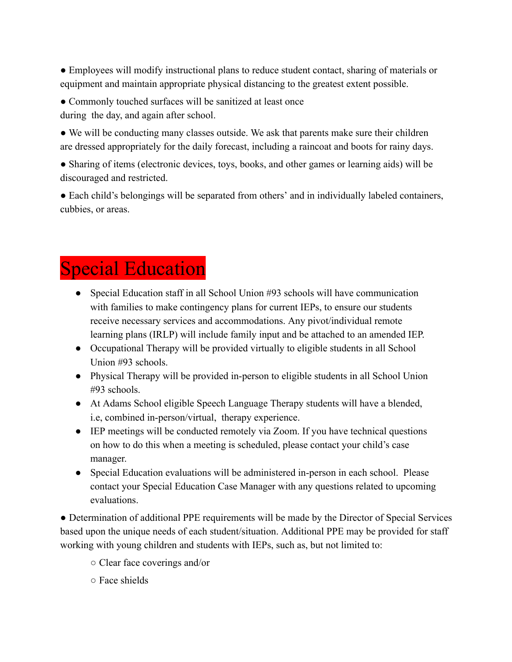• Employees will modify instructional plans to reduce student contact, sharing of materials or equipment and maintain appropriate physical distancing to the greatest extent possible.

• Commonly touched surfaces will be sanitized at least once during the day, and again after school.

• We will be conducting many classes outside. We ask that parents make sure their children are dressed appropriately for the daily forecast, including a raincoat and boots for rainy days.

• Sharing of items (electronic devices, toys, books, and other games or learning aids) will be discouraged and restricted.

• Each child's belongings will be separated from others' and in individually labeled containers, cubbies, or areas.

# Special Education

- Special Education staff in all School Union #93 schools will have communication with families to make contingency plans for current IEPs, to ensure our students receive necessary services and accommodations. Any pivot/individual remote learning plans (IRLP) will include family input and be attached to an amended IEP.
- Occupational Therapy will be provided virtually to eligible students in all School Union #93 schools.
- Physical Therapy will be provided in-person to eligible students in all School Union #93 schools.
- At Adams School eligible Speech Language Therapy students will have a blended, i.e, combined in-person/virtual, therapy experience.
- IEP meetings will be conducted remotely via Zoom. If you have technical questions on how to do this when a meeting is scheduled, please contact your child's case manager.
- Special Education evaluations will be administered in-person in each school. Please contact your Special Education Case Manager with any questions related to upcoming evaluations.

● Determination of additional PPE requirements will be made by the Director of Special Services based upon the unique needs of each student/situation. Additional PPE may be provided for staff working with young children and students with IEPs, such as, but not limited to:

- Clear face coverings and/or
- Face shields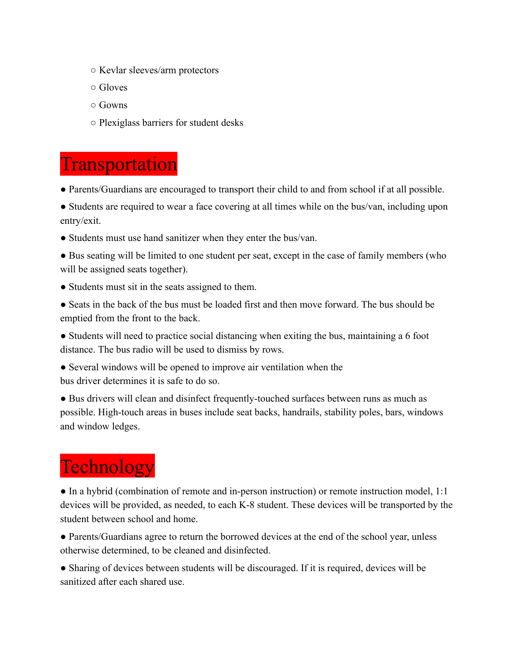- Kevlar sleeves/arm protectors
- Gloves
- Gowns
- Plexiglass barriers for student desks

### **Transportation**

- Parents/Guardians are encouraged to transport their child to and from school if at all possible.
- Students are required to wear a face covering at all times while on the bus/van, including upon entry/exit.
- Students must use hand sanitizer when they enter the bus/van.
- Bus seating will be limited to one student per seat, except in the case of family members (who will be assigned seats together).
- Students must sit in the seats assigned to them.
- Seats in the back of the bus must be loaded first and then move forward. The bus should be emptied from the front to the back.
- Students will need to practice social distancing when exiting the bus, maintaining a 6 foot distance. The bus radio will be used to dismiss by rows.
- Several windows will be opened to improve air ventilation when the bus driver determines it is safe to do so.
- Bus drivers will clean and disinfect frequently-touched surfaces between runs as much as possible. High-touch areas in buses include seat backs, handrails, stability poles, bars, windows and window ledges.

# **Technology**

• In a hybrid (combination of remote and in-person instruction) or remote instruction model, 1:1 devices will be provided, as needed, to each K-8 student. These devices will be transported by the student between school and home.

• Parents/Guardians agree to return the borrowed devices at the end of the school year, unless otherwise determined, to be cleaned and disinfected.

• Sharing of devices between students will be discouraged. If it is required, devices will be sanitized after each shared use.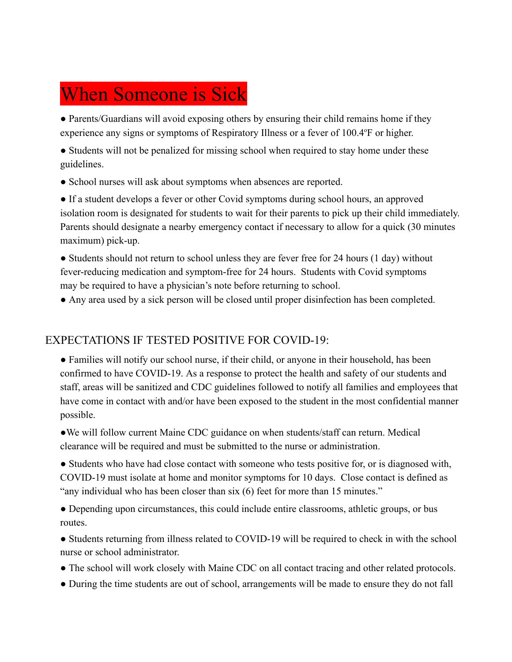# When Someone is Sick

• Parents/Guardians will avoid exposing others by ensuring their child remains home if they experience any [signs or symptoms of Respiratory Illness](https://www.cdc.gov/coronavirus/2019-ncov/downloads/COVID19-symptoms.pdf) or a fever of 100.4°F or higher.

• Students will not be penalized for missing school when required to stay home under these guidelines.

● School nurses will ask about symptoms when absences are reported.

● If a student develops a fever or other Covid symptoms during school hours, an approved isolation room is designated for students to wait for their parents to pick up their child immediately. Parents should designate a nearby emergency contact if necessary to allow for a quick (30 minutes maximum) pick-up.

• Students should not return to school unless they are fever free for 24 hours (1 day) without fever-reducing medication and symptom-free for 24 hours. Students with Covid symptoms may be required to have a physician's note before returning to school.

● Any area used by a sick person will be closed until proper disinfection has been completed.

### EXPECTATIONS IF TESTED POSITIVE FOR COVID-19:

• Families will notify our school nurse, if their child, or anyone in their household, has been confirmed to have COVID-19. As a response to protect the health and safety of our students and staff, areas will be sanitized and CDC guidelines followed to notify all families and employees that have come in contact with and/or have been exposed to the student in the most confidential manner possible.

●We will follow current Maine CDC guidance on when students/staff can return. Medical clearance will be required and must be submitted to the nurse or administration.

• Students who have had close contact with someone who tests positive for, or is diagnosed with, COVID-19 must isolate at home and monitor symptoms for 10 days. Close contact is defined as "any individual who has been closer than six (6) feet for more than 15 minutes."

• Depending upon circumstances, this could include entire classrooms, athletic groups, or bus routes.

• Students returning from illness related to COVID-19 will be required to check in with the school nurse or school administrator.

- The school will work closely with Maine CDC on all contact tracing and other related protocols.
- During the time students are out of school, arrangements will be made to ensure they do not fall